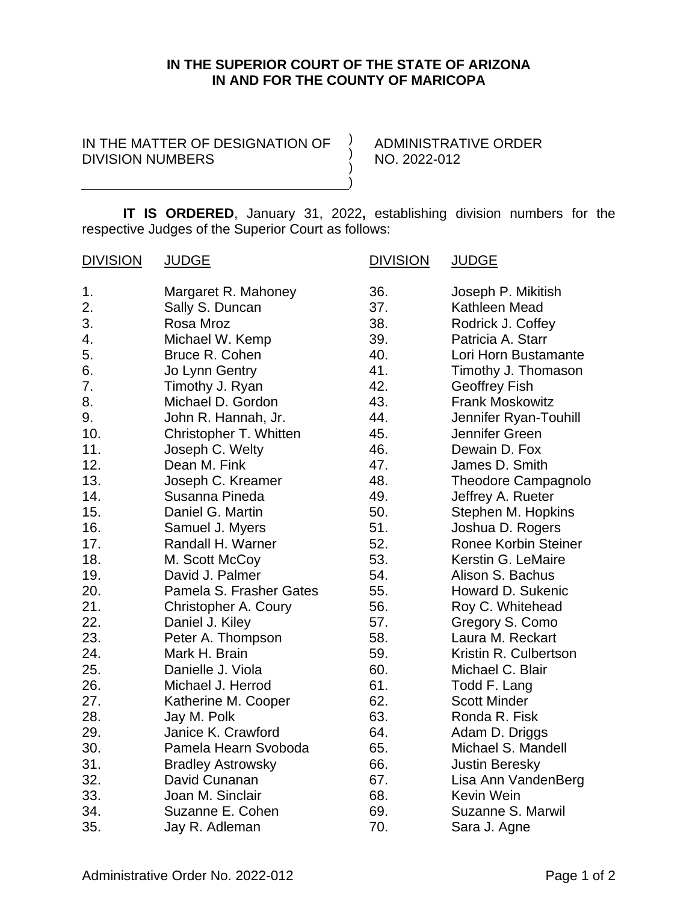## **IN THE SUPERIOR COURT OF THE STATE OF ARIZONA IN AND FOR THE COUNTY OF MARICOPA**

 $\left( \right)$ ) ) )

IN THE MATTER OF DESIGNATION OF DIVISION NUMBERS

ADMINISTRATIVE ORDER NO. 2022-012

**IT IS ORDERED**, January 31, 2022**,** establishing division numbers for the respective Judges of the Superior Court as follows:

| <b>DIVISION</b> | <b>JUDGE</b>             | <b>DIVISION</b> | <b>JUDGE</b>                |
|-----------------|--------------------------|-----------------|-----------------------------|
| 1.              | Margaret R. Mahoney      | 36.             | Joseph P. Mikitish          |
| 2.              | Sally S. Duncan          | 37.             | Kathleen Mead               |
| 3.              | Rosa Mroz                | 38.             | Rodrick J. Coffey           |
| 4.              | Michael W. Kemp          | 39.             | Patricia A. Starr           |
| 5.              | Bruce R. Cohen           | 40.             | Lori Horn Bustamante        |
| 6.              | Jo Lynn Gentry           | 41.             | Timothy J. Thomason         |
| 7.              | Timothy J. Ryan          | 42.             | <b>Geoffrey Fish</b>        |
| 8.              | Michael D. Gordon        | 43.             | <b>Frank Moskowitz</b>      |
| 9.              | John R. Hannah, Jr.      | 44.             | Jennifer Ryan-Touhill       |
| 10.             | Christopher T. Whitten   | 45.             | Jennifer Green              |
| 11.             | Joseph C. Welty          | 46.             | Dewain D. Fox               |
| 12.             | Dean M. Fink             | 47.             | James D. Smith              |
| 13.             | Joseph C. Kreamer        | 48.             | <b>Theodore Campagnolo</b>  |
| 14.             | Susanna Pineda           | 49.             | Jeffrey A. Rueter           |
| 15.             | Daniel G. Martin         | 50.             | Stephen M. Hopkins          |
| 16.             | Samuel J. Myers          | 51.             | Joshua D. Rogers            |
| 17.             | Randall H. Warner        | 52.             | <b>Ronee Korbin Steiner</b> |
| 18.             | M. Scott McCoy           | 53.             | Kerstin G. LeMaire          |
| 19.             | David J. Palmer          | 54.             | Alison S. Bachus            |
| 20.             | Pamela S. Frasher Gates  | 55.             | Howard D. Sukenic           |
| 21.             | Christopher A. Coury     | 56.             | Roy C. Whitehead            |
| 22.             | Daniel J. Kiley          | 57.             | Gregory S. Como             |
| 23.             | Peter A. Thompson        | 58.             | Laura M. Reckart            |
| 24.             | Mark H. Brain            | 59.             | Kristin R. Culbertson       |
| 25.             | Danielle J. Viola        | 60.             | Michael C. Blair            |
| 26.             | Michael J. Herrod        | 61.             | Todd F. Lang                |
| 27.             | Katherine M. Cooper      | 62.             | <b>Scott Minder</b>         |
| 28.             | Jay M. Polk              | 63.             | Ronda R. Fisk               |
| 29.             | Janice K. Crawford       | 64.             | Adam D. Driggs              |
| 30.             | Pamela Hearn Svoboda     | 65.             | Michael S. Mandell          |
| 31.             | <b>Bradley Astrowsky</b> | 66.             | <b>Justin Beresky</b>       |
| 32.             | David Cunanan            | 67.             | Lisa Ann VandenBerg         |
| 33.             | Joan M. Sinclair         | 68.             | Kevin Wein                  |
| 34.             | Suzanne E. Cohen         | 69.             | Suzanne S. Marwil           |
| 35.             | Jay R. Adleman           | 70.             | Sara J. Agne                |